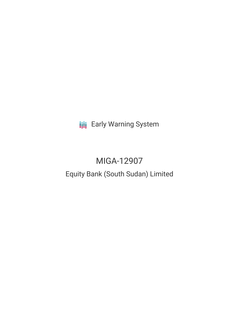**III** Early Warning System

# MIGA-12907 Equity Bank (South Sudan) Limited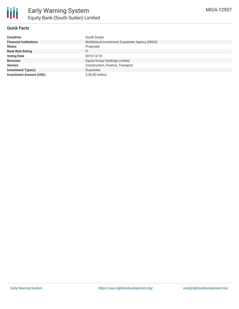

## **Quick Facts**

| <b>Countries</b>               | South Sudan                                     |
|--------------------------------|-------------------------------------------------|
| <b>Financial Institutions</b>  | Multilateral Investment Guarantee Agency (MIGA) |
| <b>Status</b>                  | Proposed                                        |
| <b>Bank Risk Rating</b>        | FI                                              |
| <b>Voting Date</b>             | 2015-12-10                                      |
| <b>Borrower</b>                | <b>Equity Group Holdings Limited</b>            |
| <b>Sectors</b>                 | Construction, Finance, Transport                |
| <b>Investment Type(s)</b>      | Guarantee                                       |
| <b>Investment Amount (USD)</b> | $$36.00$ million                                |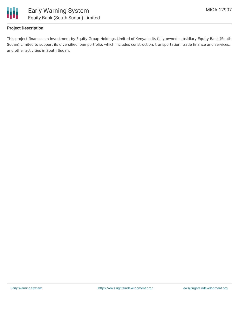

## **Project Description**

This project finances an investment by Equity Group Holdings Limited of Kenya in its fully-owned subsidiary Equity Bank (South Sudan) Limited to support its diversified loan portfolio, which includes construction, transportation, trade finance and services, and other activities in South Sudan.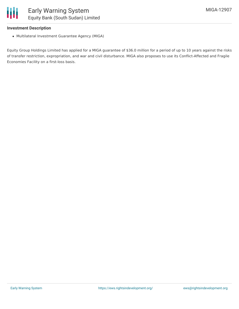#### **Investment Description**

Multilateral Investment Guarantee Agency (MIGA)

Equity Group Holdings Limited has applied for a MIGA guarantee of \$36.0 million for a period of up to 10 years against the risks of transfer restriction, expropriation, and war and civil disturbance. MIGA also proposes to use its Conflict-Affected and Fragile Economies Facility on a first-loss basis.